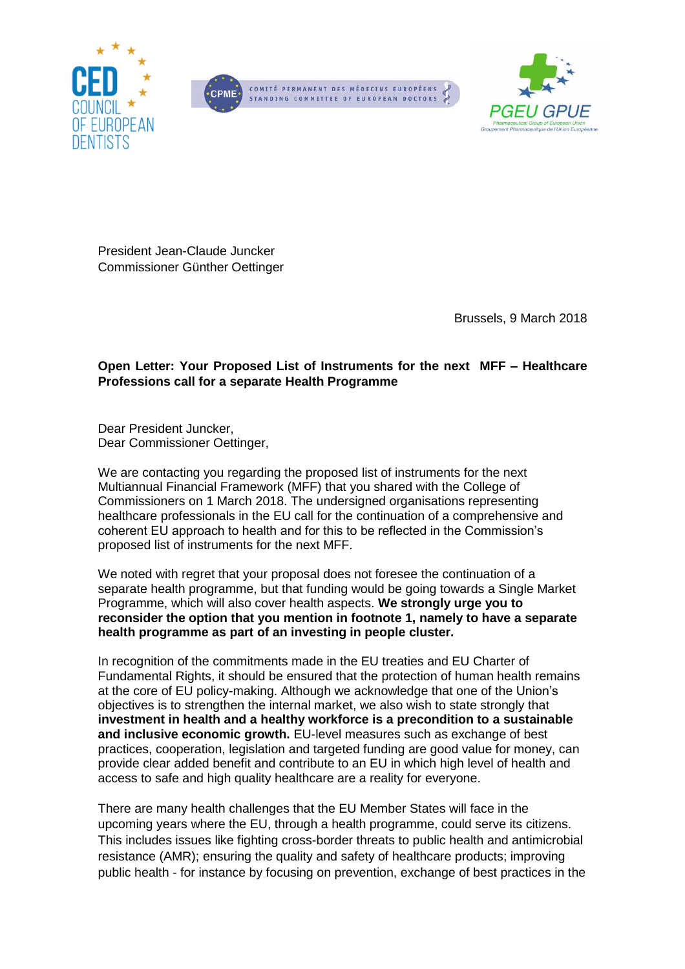





President Jean-Claude Juncker Commissioner Günther Oettinger

Brussels, 9 March 2018

#### **Open Letter: Your Proposed List of Instruments for the next MFF – Healthcare Professions call for a separate Health Programme**

Dear President Juncker, Dear Commissioner Oettinger,

We are contacting you regarding the proposed list of instruments for the next Multiannual Financial Framework (MFF) that you shared with the College of Commissioners on 1 March 2018. The undersigned organisations representing healthcare professionals in the EU call for the continuation of a comprehensive and coherent EU approach to health and for this to be reflected in the Commission's proposed list of instruments for the next MFF.

We noted with regret that your proposal does not foresee the continuation of a separate health programme, but that funding would be going towards a Single Market Programme, which will also cover health aspects. **We strongly urge you to reconsider the option that you mention in footnote 1, namely to have a separate health programme as part of an investing in people cluster.**

In recognition of the commitments made in the EU treaties and EU Charter of Fundamental Rights, it should be ensured that the protection of human health remains at the core of EU policy-making. Although we acknowledge that one of the Union's objectives is to strengthen the internal market, we also wish to state strongly that **investment in health and a healthy workforce is a precondition to a sustainable and inclusive economic growth.** EU-level measures such as exchange of best practices, cooperation, legislation and targeted funding are good value for money, can provide clear added benefit and contribute to an EU in which high level of health and access to safe and high quality healthcare are a reality for everyone.

There are many health challenges that the EU Member States will face in the upcoming years where the EU, through a health programme, could serve its citizens. This includes issues like fighting cross-border threats to public health and antimicrobial resistance (AMR); ensuring the quality and safety of healthcare products; improving public health - for instance by focusing on prevention, exchange of best practices in the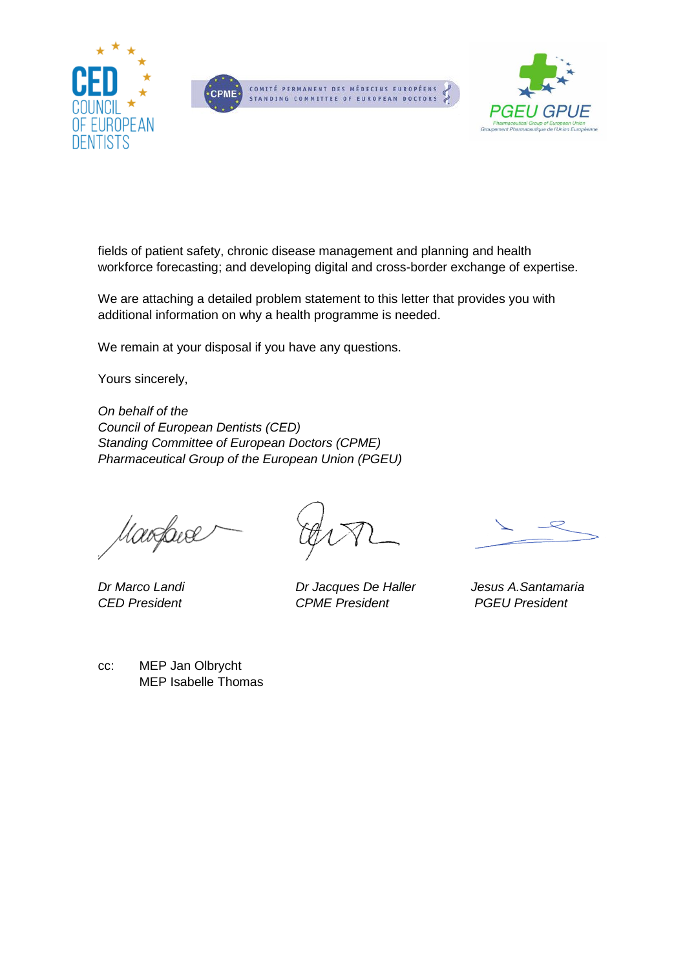





fields of patient safety, chronic disease management and planning and health workforce forecasting; and developing digital and cross-border exchange of expertise.

We are attaching a detailed problem statement to this letter that provides you with additional information on why a health programme is needed.

We remain at your disposal if you have any questions.

Yours sincerely,

*On behalf of the Council of European Dentists (CED) Standing Committee of European Doctors (CPME) Pharmaceutical Group of the European Union (PGEU)*

Marfave

*Dr Marco Landi Dr Jacques De Haller Jesus A.Santamaria CED President CPME President PGEU President*

cc: MEP Jan Olbrycht MEP Isabelle Thomas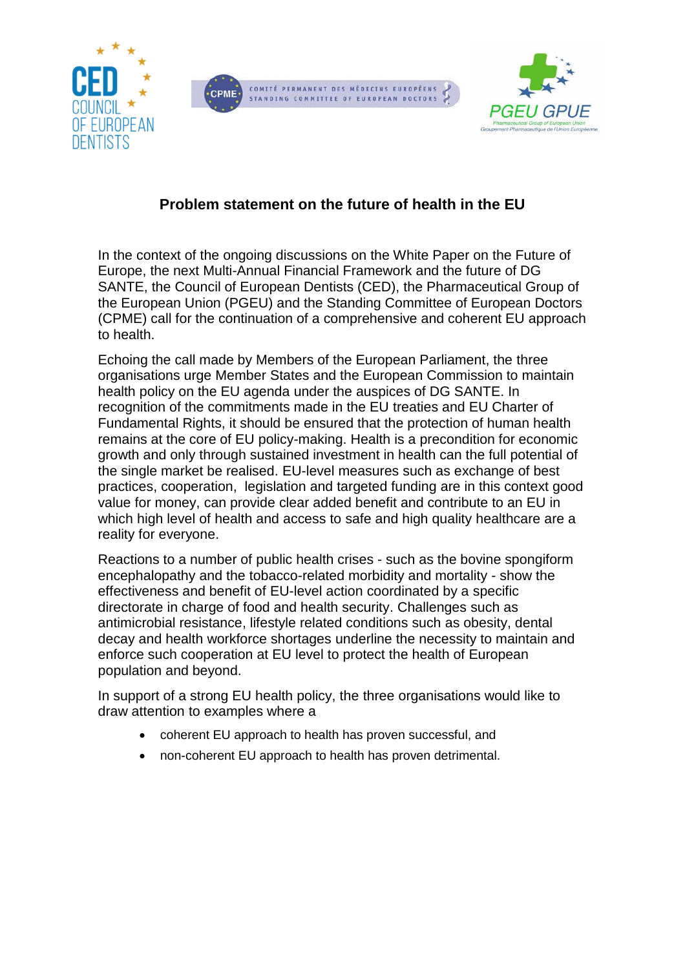





# **Problem statement on the future of health in the EU**

In the context of the ongoing discussions on the White Paper on the Future of Europe, the next Multi-Annual Financial Framework and the future of DG SANTE, the Council of European Dentists (CED), the Pharmaceutical Group of the European Union (PGEU) and the Standing Committee of European Doctors (CPME) call for the continuation of a comprehensive and coherent EU approach to health.

Echoing the call made by Members of the European Parliament, the three organisations urge Member States and the European Commission to maintain health policy on the EU agenda under the auspices of DG SANTE. In recognition of the commitments made in the EU treaties and EU Charter of Fundamental Rights, it should be ensured that the protection of human health remains at the core of EU policy-making. Health is a precondition for economic growth and only through sustained investment in health can the full potential of the single market be realised. EU-level measures such as exchange of best practices, cooperation, legislation and targeted funding are in this context good value for money, can provide clear added benefit and contribute to an EU in which high level of health and access to safe and high quality healthcare are a reality for everyone.

Reactions to a number of public health crises - such as the bovine spongiform encephalopathy and the tobacco-related morbidity and mortality - show the effectiveness and benefit of EU-level action coordinated by a specific directorate in charge of food and health security. Challenges such as antimicrobial resistance, lifestyle related conditions such as obesity, dental decay and health workforce shortages underline the necessity to maintain and enforce such cooperation at EU level to protect the health of European population and beyond.

In support of a strong EU health policy, the three organisations would like to draw attention to examples where a

- coherent EU approach to health has proven successful, and
- non-coherent EU approach to health has proven detrimental.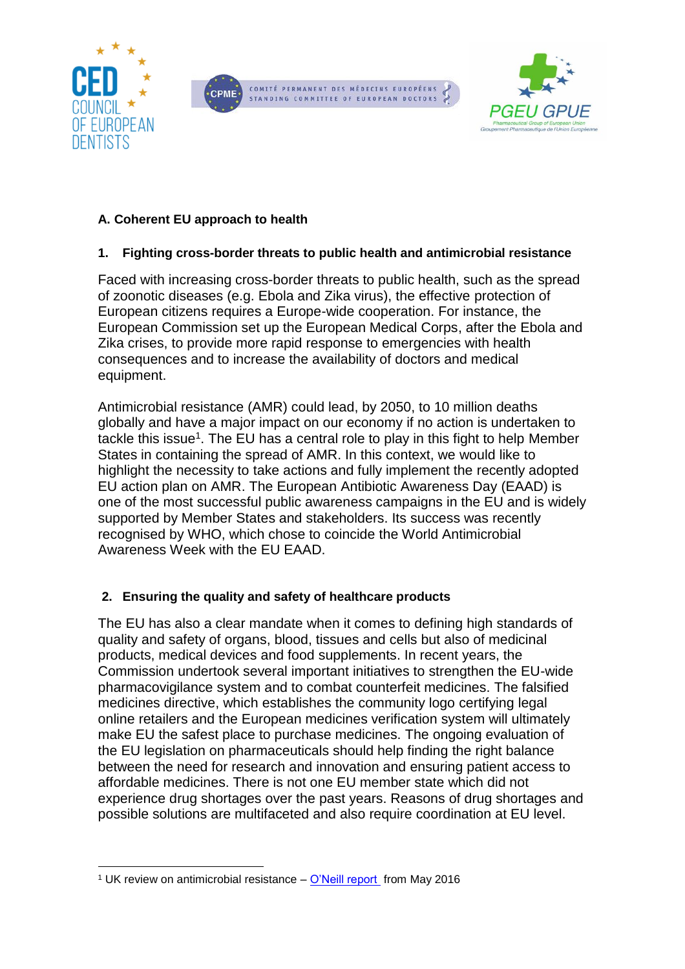





### **A. Coherent EU approach to health**

## **1. Fighting cross-border threats to public health and antimicrobial resistance**

Faced with increasing cross-border threats to public health, such as the spread of zoonotic diseases (e.g. Ebola and Zika virus), the effective protection of European citizens requires a Europe-wide cooperation. For instance, the European Commission set up the European Medical Corps, after the Ebola and Zika crises, to provide more rapid response to emergencies with health consequences and to increase the availability of doctors and medical equipment.

Antimicrobial resistance (AMR) could lead, by 2050, to 10 million deaths globally and have a major impact on our economy if no action is undertaken to tackle this issue<sup>1</sup>. The EU has a central role to play in this fight to help Member States in containing the spread of AMR. In this context, we would like to highlight the necessity to take actions and fully implement the recently adopted EU action plan on AMR. The European Antibiotic Awareness Day (EAAD) is one of the most successful public awareness campaigns in the EU and is widely supported by Member States and stakeholders. Its success was recently recognised by WHO, which chose to coincide the World Antimicrobial Awareness Week with the EU EAAD.

### **2. Ensuring the quality and safety of healthcare products**

The EU has also a clear mandate when it comes to defining high standards of quality and safety of organs, blood, tissues and cells but also of medicinal products, medical devices and food supplements. In recent years, the Commission undertook several important initiatives to strengthen the EU-wide pharmacovigilance system and to combat counterfeit medicines. The falsified medicines directive, which establishes the community logo certifying legal online retailers and the European medicines verification system will ultimately make EU the safest place to purchase medicines. The ongoing evaluation of the EU legislation on pharmaceuticals should help finding the right balance between the need for research and innovation and ensuring patient access to affordable medicines. There is not one EU member state which did not experience drug shortages over the past years. Reasons of drug shortages and possible solutions are multifaceted and also require coordination at EU level.

<sup>1</sup> <sup>1</sup> UK review on antimicrobial resistance – [O'Neill report](https://amr-review.org/sites/default/files/160525_Final%20paper_with%20cover.pdf) from May 2016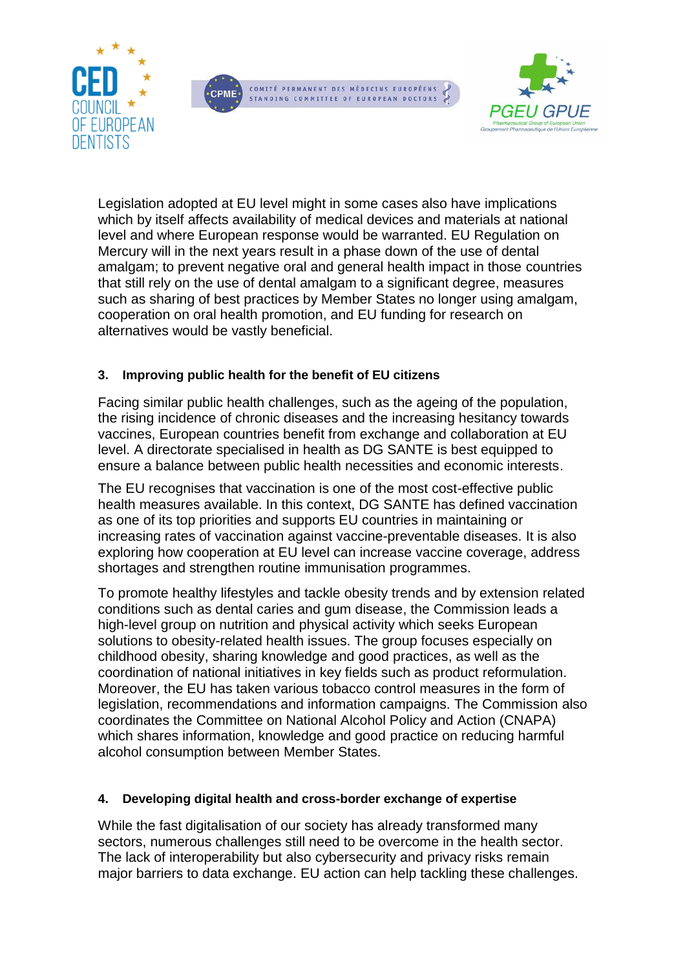





Legislation adopted at EU level might in some cases also have implications which by itself affects availability of medical devices and materials at national level and where European response would be warranted. EU Regulation on Mercury will in the next years result in a phase down of the use of dental amalgam; to prevent negative oral and general health impact in those countries that still rely on the use of dental amalgam to a significant degree, measures such as sharing of best practices by Member States no longer using amalgam, cooperation on oral health promotion, and EU funding for research on alternatives would be vastly beneficial.

### **3. Improving public health for the benefit of EU citizens**

Facing similar public health challenges, such as the ageing of the population, the rising incidence of chronic diseases and the increasing hesitancy towards vaccines, European countries benefit from exchange and collaboration at EU level. A directorate specialised in health as DG SANTE is best equipped to ensure a balance between public health necessities and economic interests.

The EU recognises that vaccination is one of the most cost-effective public health measures available. In this context, DG SANTE has defined vaccination as one of its top priorities and supports EU countries in maintaining or increasing rates of vaccination against vaccine-preventable diseases. It is also exploring how cooperation at EU level can increase vaccine coverage, address shortages and strengthen routine immunisation programmes.

To promote healthy lifestyles and tackle obesity trends and by extension related conditions such as dental caries and gum disease, the Commission leads a high-level group on nutrition and physical activity which seeks European solutions to obesity-related health issues. The group focuses especially on childhood obesity, sharing knowledge and good practices, as well as the coordination of national initiatives in key fields such as product reformulation. Moreover, the EU has taken various tobacco control measures in the form of legislation, recommendations and information campaigns. The Commission also coordinates the Committee on National Alcohol Policy and Action (CNAPA) which shares information, knowledge and good practice on reducing harmful alcohol consumption between Member States.

#### **4. Developing digital health and cross-border exchange of expertise**

While the fast digitalisation of our society has already transformed many sectors, numerous challenges still need to be overcome in the health sector. The lack of interoperability but also cybersecurity and privacy risks remain major barriers to data exchange. EU action can help tackling these challenges.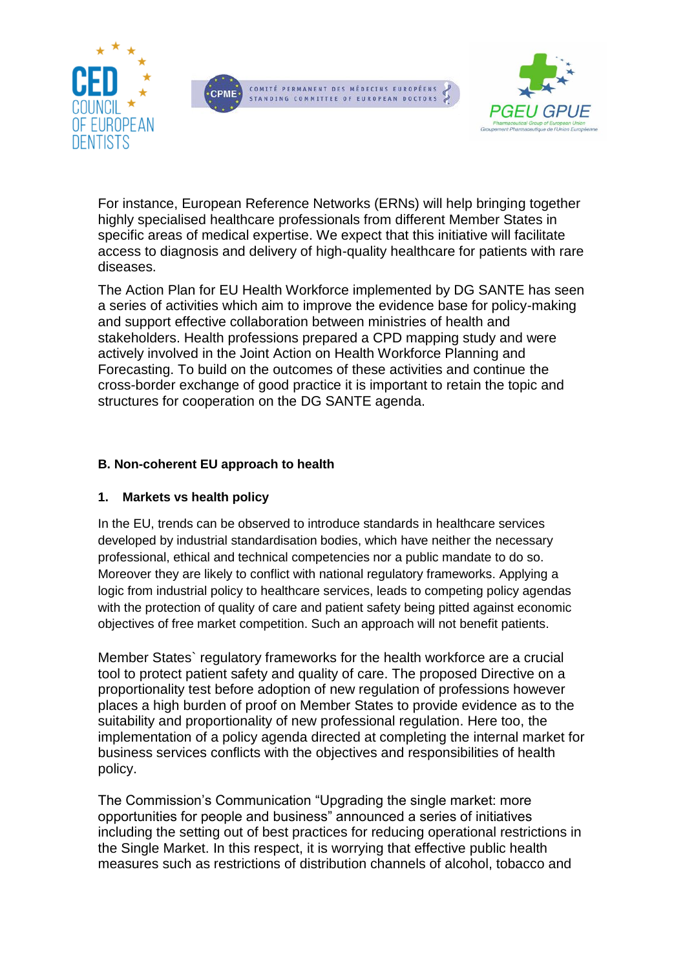





For instance, European Reference Networks (ERNs) will help bringing together highly specialised healthcare professionals from different Member States in specific areas of medical expertise. We expect that this initiative will facilitate access to diagnosis and delivery of high-quality healthcare for patients with rare diseases.

The Action Plan for EU Health Workforce implemented by DG SANTE has seen a series of activities which aim to improve the evidence base for policy-making and support effective collaboration between ministries of health and stakeholders. Health professions prepared a CPD mapping study and were actively involved in the Joint Action on Health Workforce Planning and Forecasting. To build on the outcomes of these activities and continue the cross-border exchange of good practice it is important to retain the topic and structures for cooperation on the DG SANTE agenda.

### **B. Non-coherent EU approach to health**

#### **1. Markets vs health policy**

In the EU, trends can be observed to introduce standards in healthcare services developed by industrial standardisation bodies, which have neither the necessary professional, ethical and technical competencies nor a public mandate to do so. Moreover they are likely to conflict with national regulatory frameworks. Applying a logic from industrial policy to healthcare services, leads to competing policy agendas with the protection of quality of care and patient safety being pitted against economic objectives of free market competition. Such an approach will not benefit patients.

Member States` regulatory frameworks for the health workforce are a crucial tool to protect patient safety and quality of care. The proposed Directive on a proportionality test before adoption of new regulation of professions however places a high burden of proof on Member States to provide evidence as to the suitability and proportionality of new professional regulation. Here too, the implementation of a policy agenda directed at completing the internal market for business services conflicts with the objectives and responsibilities of health policy.

The Commission's Communication "Upgrading the single market: more opportunities for people and business" announced a series of initiatives including the setting out of best practices for reducing operational restrictions in the Single Market. In this respect, it is worrying that effective public health measures such as restrictions of distribution channels of alcohol, tobacco and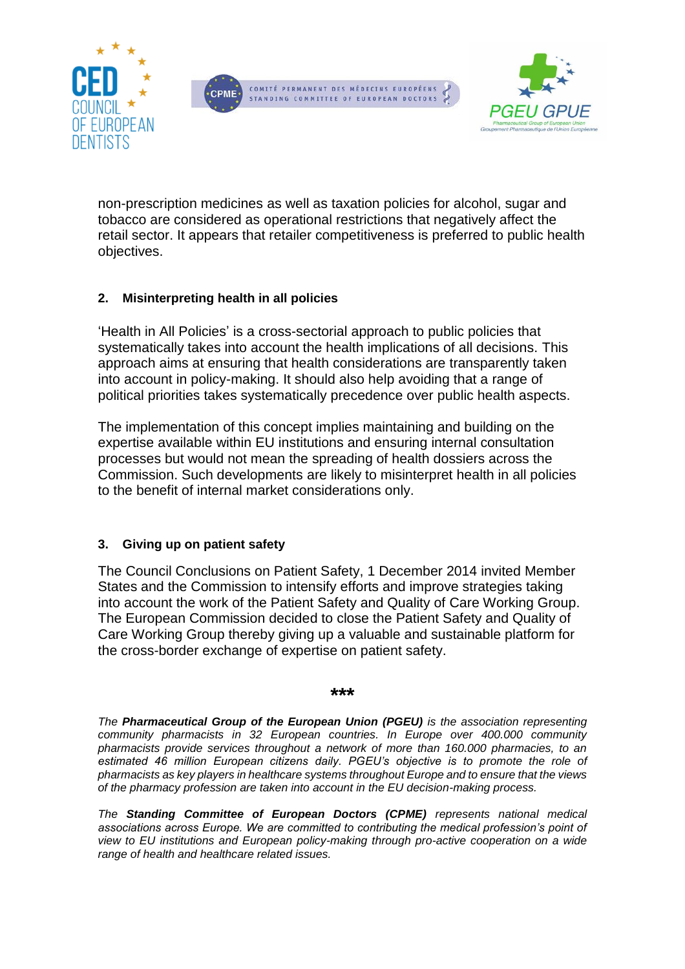





non-prescription medicines as well as taxation policies for alcohol, sugar and tobacco are considered as operational restrictions that negatively affect the retail sector. It appears that retailer competitiveness is preferred to public health objectives.

### **2. Misinterpreting health in all policies**

'Health in All Policies' is a cross-sectorial approach to public policies that systematically takes into account the health implications of all decisions. This approach aims at ensuring that health considerations are transparently taken into account in policy-making. It should also help avoiding that a range of political priorities takes systematically precedence over public health aspects.

The implementation of this concept implies maintaining and building on the expertise available within EU institutions and ensuring internal consultation processes but would not mean the spreading of health dossiers across the Commission. Such developments are likely to misinterpret health in all policies to the benefit of internal market considerations only.

#### **3. Giving up on patient safety**

The Council Conclusions on Patient Safety, 1 December 2014 invited Member States and the Commission to intensify efforts and improve strategies taking into account the work of the Patient Safety and Quality of Care Working Group. The European Commission decided to close the Patient Safety and Quality of Care Working Group thereby giving up a valuable and sustainable platform for the cross-border exchange of expertise on patient safety.

#### **\*\*\***

*The Pharmaceutical Group of the European Union (PGEU) is the association representing community pharmacists in 32 European countries. In Europe over 400.000 community pharmacists provide services throughout a network of more than 160.000 pharmacies, to an estimated 46 million European citizens daily. PGEU's objective is to promote the role of pharmacists as key players in healthcare systems throughout Europe and to ensure that the views of the pharmacy profession are taken into account in the EU decision-making process.*

*The Standing Committee of European Doctors (CPME) represents national medical associations across Europe. We are committed to contributing the medical profession's point of view to EU institutions and European policy-making through pro-active cooperation on a wide range of health and healthcare related issues.*